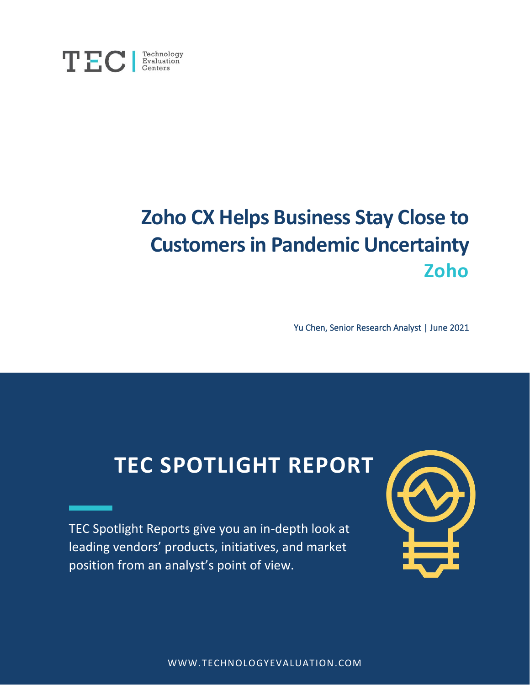

# **Zoho CX Helps Business Stay Close to Customers in Pandemic Uncertainty Zoho**

Yu Chen, Senior Research Analyst | June 2021

# **TEC SPOTLIGHT REPORT**

TEC Spotlight Reports give you an in-depth look at leading vendors' products, initiatives, and market position from an analyst's point of view.



WWW.TECHNOLOGYEVALUATION.COM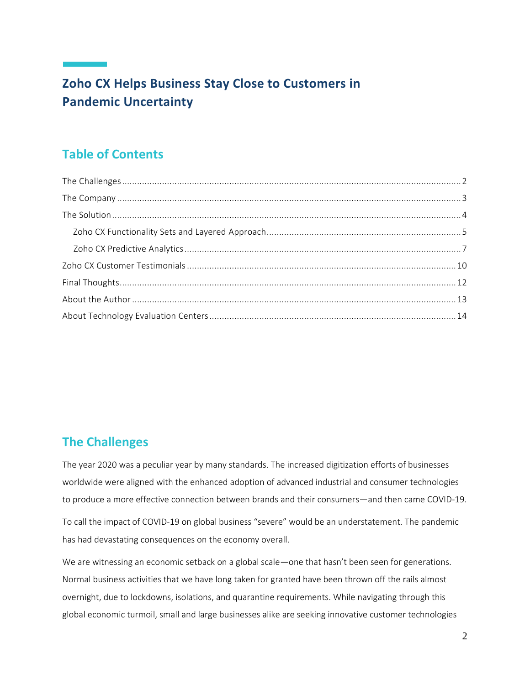# **Zoho CX Helps Business Stay Close to Customers in Pandemic Uncertainty**

# **Table of Contents**

## <span id="page-1-0"></span>**The Challenges**

The year 2020 was a peculiar year by many standards. The increased digitization efforts of businesses worldwide were aligned with the enhanced adoption of advanced industrial and consumer technologies to produce a more effective connection between brands and their consumers—and then came COVID-19.

To call the impact of COVID-19 on global business "severe" would be an understatement. The pandemic has had devastating consequences on the economy overall.

We are witnessing an economic setback on a global scale—one that hasn't been seen for generations. Normal business activities that we have long taken for granted have been thrown off the rails almost overnight, due to lockdowns, isolations, and quarantine requirements. While navigating through this global economic turmoil, small and large businesses alike are seeking innovative customer technologies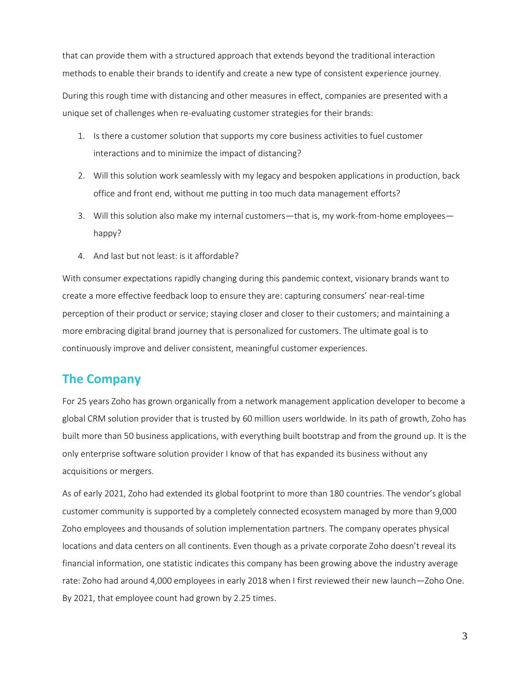that can provide them with a structured approach that extends beyond the traditional interaction methods to enable their brands to identify and create a new type of consistent experience journey.

During this rough time with distancing and other measures in effect, companies are presented with a unique set of challenges when re-evaluating customer strategies for their brands:

- 1. Is there a customer solution that supports my core business activities to fuel customer interactions and to minimize the impact of distancing?
- 2. Will this solution work seamlessly with my legacy and bespoken applications in production, back office and front end, without me putting in too much data management efforts?
- 3. Will this solution also make my internal customers—that is, my work-from-home employees happy?
- 4. And last but not least: is it affordable?

With consumer expectations rapidly changing during this pandemic context, visionary brands want to create a more effective feedback loop to ensure they are: capturing consumers' near-real-time perception of their product or service; staying closer and closer to their customers; and maintaining a more embracing digital brand journey that is personalized for customers. The ultimate goal is to continuously improve and deliver consistent, meaningful customer experiences.

## <span id="page-2-0"></span>**The Company**

For 25 years Zoho has grown organically from a network management application developer to become a global CRM solution provider that is trusted by 60 million users worldwide. In its path of growth, Zoho has built more than 50 business applications, with everything built bootstrap and from the ground up. It is the only enterprise software solution provider I know of that has expanded its business without any acquisitions or mergers.

As of early 2021, Zoho had extended its global footprint to more than 180 countries. The vendor's global customer community is supported by a completely connected ecosystem managed by more than 9,000 Zoho employees and thousands of solution implementation partners. The company operates physical locations and data centers on all continents. Even though as a private corporate Zoho doesn't reveal its financial information, one statistic indicates this company has been growing above the industry average rate: Zoho had around 4,000 employees in early 2018 when I first reviewed their new launch—Zoho One. By 2021, that employee count had grown by 2.25 times.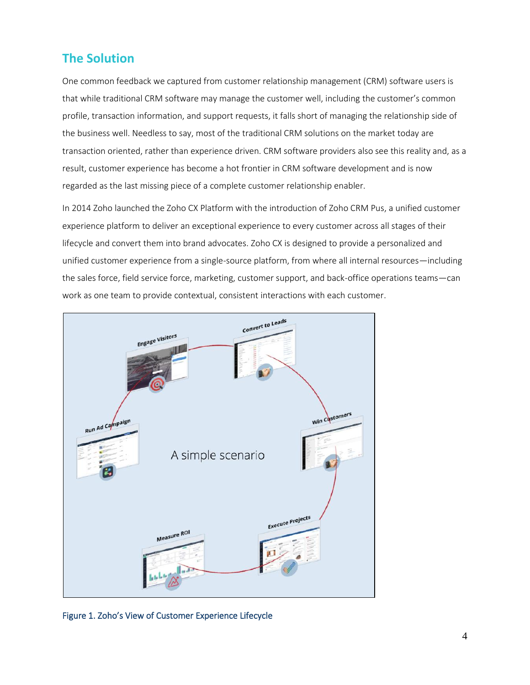## <span id="page-3-0"></span>**The Solution**

One common feedback we captured from customer relationship management (CRM) software users is that while traditional CRM software may manage the customer well, including the customer's common profile, transaction information, and support requests, it falls short of managing the relationship side of the business well. Needless to say, most of the traditional CRM solutions on the market today are transaction oriented, rather than experience driven. CRM software providers also see this reality and, as a result, customer experience has become a hot frontier in CRM software development and is now regarded as the last missing piece of a complete customer relationship enabler.

In 2014 Zoho launched the Zoho CX Platform with the introduction of Zoho CRM Pus, a unified customer experience platform to deliver an exceptional experience to every customer across all stages of their lifecycle and convert them into brand advocates. Zoho CX is designed to provide a personalized and unified customer experience from a single-source platform, from where all internal resources—including the sales force, field service force, marketing, customer support, and back-office operations teams—can work as one team to provide contextual, consistent interactions with each customer.



Figure 1. Zoho's View of Customer Experience Lifecycle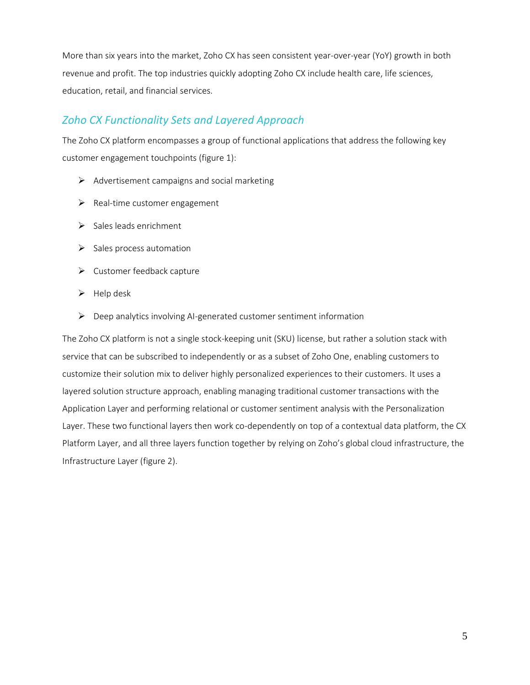More than six years into the market, Zoho CX has seen consistent year-over-year (YoY) growth in both revenue and profit. The top industries quickly adopting Zoho CX include health care, life sciences, education, retail, and financial services.

### <span id="page-4-0"></span>*Zoho CX Functionality Sets and Layered Approach*

The Zoho CX platform encompasses a group of functional applications that address the following key customer engagement touchpoints (figure 1):

- $\triangleright$  Advertisement campaigns and social marketing
- ➢ Real-time customer engagement
- ➢ Sales leads enrichment
- $\triangleright$  Sales process automation
- ➢ Customer feedback capture
- $\blacktriangleright$  Help desk
- ➢ Deep analytics involving AI-generated customer sentiment information

The Zoho CX platform is not a single stock-keeping unit (SKU) license, but rather a solution stack with service that can be subscribed to independently or as a subset of Zoho One, enabling customers to customize their solution mix to deliver highly personalized experiences to their customers. It uses a layered solution structure approach, enabling managing traditional customer transactions with the Application Layer and performing relational or customer sentiment analysis with the Personalization Layer. These two functional layers then work co-dependently on top of a contextual data platform, the CX Platform Layer, and all three layers function together by relying on Zoho's global cloud infrastructure, the Infrastructure Layer (figure 2).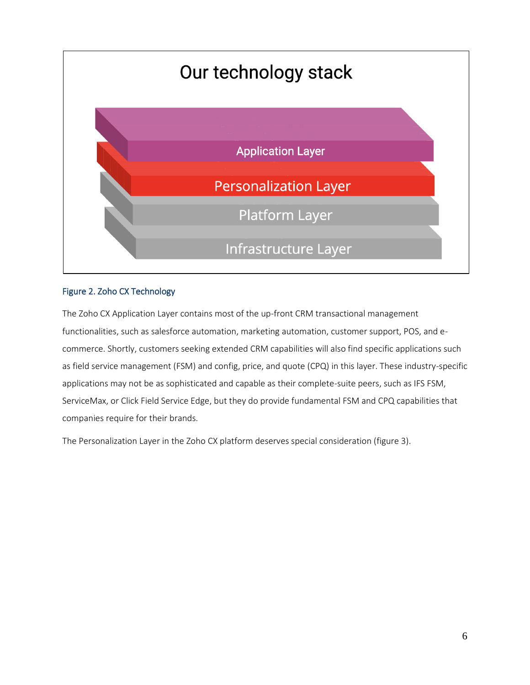

#### Figure 2. Zoho CX Technology

The Zoho CX Application Layer contains most of the up-front CRM transactional management functionalities, such as salesforce automation, marketing automation, customer support, POS, and ecommerce. Shortly, customers seeking extended CRM capabilities will also find specific applications such as field service management (FSM) and config, price, and quote (CPQ) in this layer. These industry-specific applications may not be as sophisticated and capable as their complete-suite peers, such as IFS FSM, ServiceMax, or Click Field Service Edge, but they do provide fundamental FSM and CPQ capabilities that companies require for their brands.

The Personalization Layer in the Zoho CX platform deserves special consideration (figure 3).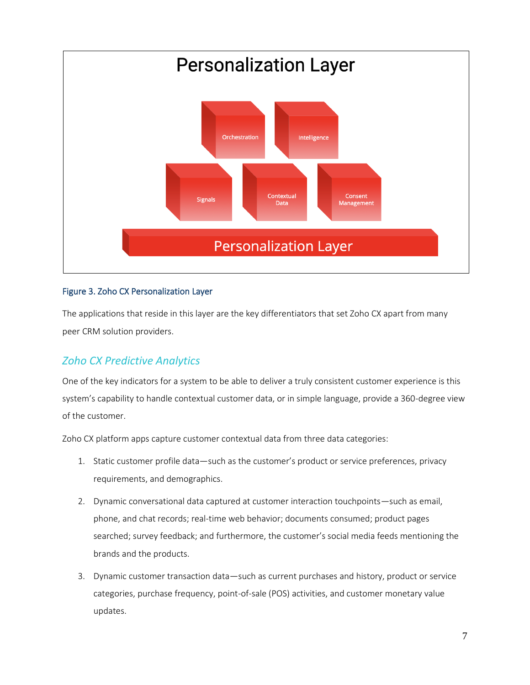

#### Figure 3. Zoho CX Personalization Layer

The applications that reside in this layer are the key differentiators that set Zoho CX apart from many peer CRM solution providers.

### <span id="page-6-0"></span>*Zoho CX Predictive Analytics*

One of the key indicators for a system to be able to deliver a truly consistent customer experience is this system's capability to handle contextual customer data, or in simple language, provide a 360-degree view of the customer.

Zoho CX platform apps capture customer contextual data from three data categories:

- 1. Static customer profile data—such as the customer's product or service preferences, privacy requirements, and demographics.
- 2. Dynamic conversational data captured at customer interaction touchpoints—such as email, phone, and chat records; real-time web behavior; documents consumed; product pages searched; survey feedback; and furthermore, the customer's social media feeds mentioning the brands and the products.
- 3. Dynamic customer transaction data—such as current purchases and history, product or service categories, purchase frequency, point-of-sale (POS) activities, and customer monetary value updates.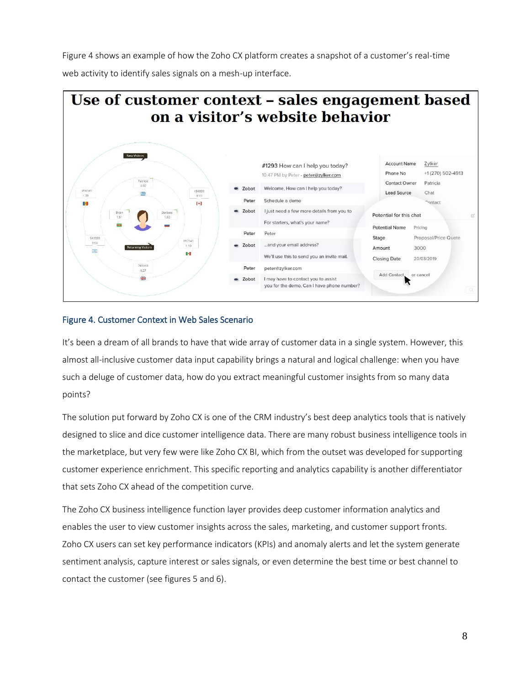Figure 4 shows an example of how the Zoho CX platform creates a snapshot of a customer's real-time web activity to identify sales signals on a mesh-up interface.



#### Figure 4. Customer Context in Web Sales Scenario

It's been a dream of all brands to have that wide array of customer data in a single system. However, this almost all-inclusive customer data input capability brings a natural and logical challenge: when you have such a deluge of customer data, how do you extract meaningful customer insights from so many data points?

The solution put forward by Zoho CX is one of the CRM industry's best deep analytics tools that is natively designed to slice and dice customer intelligence data. There are many robust business intelligence tools in the marketplace, but very few were like Zoho CX BI, which from the outset was developed for supporting customer experience enrichment. This specific reporting and analytics capability is another differentiator that sets Zoho CX ahead of the competition curve.

The Zoho CX business intelligence function layer provides deep customer information analytics and enables the user to view customer insights across the sales, marketing, and customer support fronts. Zoho CX users can set key performance indicators (KPIs) and anomaly alerts and let the system generate sentiment analysis, capture interest or sales signals, or even determine the best time or best channel to contact the customer (see figures 5 and 6).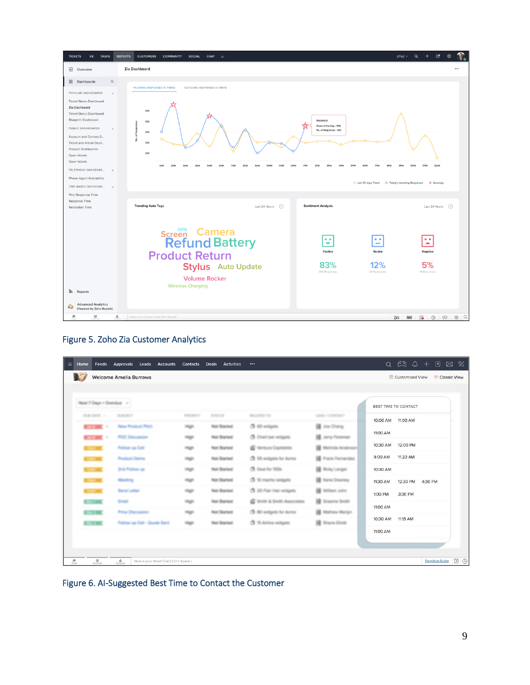

#### Figure 5. Zoho Zia Customer Analytics

| $\equiv$<br>Home                                                          | Feeds Approvals Leads Accounts Contacts                                  |           | <b>Deals</b><br>Activities | $\cdots$                         |                           |                             | $Q \left( 2\right) Q \left( 2\right) + \left( 3\right) Q \left( 3\right)$ |                              |
|---------------------------------------------------------------------------|--------------------------------------------------------------------------|-----------|----------------------------|----------------------------------|---------------------------|-----------------------------|---------------------------------------------------------------------------|------------------------------|
|                                                                           | <b>Welcome Amelia Burrows</b>                                            |           |                            |                                  |                           |                             | <b>BB</b> Customized View                                                 | Classic View                 |
|                                                                           |                                                                          |           |                            |                                  |                           |                             |                                                                           |                              |
| Next 7 Days + Overdue -                                                   |                                                                          |           |                            |                                  |                           | <b>BEST TIME TO CONTACT</b> |                                                                           |                              |
| DVA DATE : -                                                              | <b>WARNER</b>                                                            | PERCHEC'S | <b>STATUS</b>              | <b>MILLATED TO</b>               | LEAD / CONTACT            | 10:00 AM  11:00 AM          |                                                                           |                              |
| <b>CONTROL</b>                                                            | New Product Plats                                                        |           | Not Started                | CB 60 widgets                    | <b>B</b> Joe Chang        |                             |                                                                           |                              |
| <b>Contract Contract</b>                                                  | <b>POC Discussion</b>                                                    |           | Not Started                | <b>3</b> Chart bar widgets       | <b>B</b> Jerry Foreman    | 11:00 AM                    |                                                                           |                              |
|                                                                           | Politow van Call                                                         |           | Not Started                | <sup>2</sup> Vertura Capitalists | <b>B</b> Melrida Anderson | 10:30 AM  12:00 PM          |                                                                           |                              |
|                                                                           | <b>Product Demo</b>                                                      |           | Not Started                | CB 15 widgets for Acrea          | <b>R</b> Frank Fernandez  | 9:00 AM                     | 11:20 AM                                                                  |                              |
|                                                                           | <b>Znd Follow up</b>                                                     |           | Not Started                | CB Deal for 100k                 | <b>B</b> Roly Langer      | 10:30 AM                    |                                                                           |                              |
|                                                                           | Mexico                                                                   |           | Not Started                | CB 10 machs widgets              | <b>B</b> Kane Downey      | 11:30 AM                    | 12:30 PM 4:30 PM                                                          |                              |
|                                                                           | Send Letter                                                              |           | Not Started                | CB 20 Flat Hair willigets.       | <b>BE William John</b>    | 1:00 PM                     | 3:30 PM                                                                   |                              |
| <b>THE REAL</b>                                                           | Email                                                                    |           | Not Started                | C Smith & Smith Associates       | <b>B</b> Graema Smith     |                             |                                                                           |                              |
| 79.900                                                                    | <b>Price Discussion</b>                                                  |           | Not Started                | CB 80 writings for Acrea         | <b>H</b> Mathew Martyn    | 11:00 AM                    |                                                                           |                              |
| <b>KITCHER</b>                                                            | Fallow up Call - Quote Sent                                              |           | Not Started                | $2.15$ Airline widgets           | <b>B</b> Shane Eliott     | 10:30 AM 11:15 AM           |                                                                           |                              |
|                                                                           |                                                                          |           |                            |                                  |                           | 11:00 AM                    |                                                                           |                              |
|                                                                           |                                                                          |           |                            |                                  |                           |                             |                                                                           |                              |
|                                                                           |                                                                          |           |                            |                                  |                           |                             |                                                                           |                              |
| $\frac{\partial}{\partial m}$<br>$\frac{\Delta\beta}{\Omega_{\rm MLOO2}}$ | $\frac{\Delta}{\text{corona}}$<br>Here is your Smart Chat (Ctrl + Space) |           |                            |                                  |                           |                             |                                                                           | O<br><b>Transition Guide</b> |

Figure 6. AI-Suggested Best Time to Contact the Customer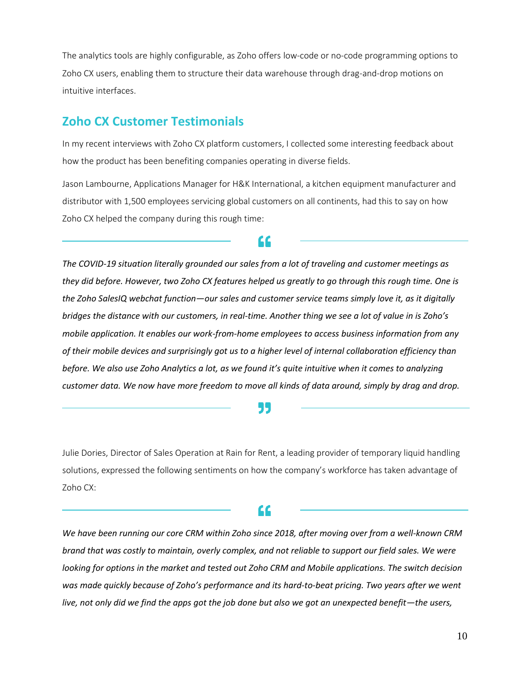The analytics tools are highly configurable, as Zoho offers low-code or no-code programming options to Zoho CX users, enabling them to structure their data warehouse through drag-and-drop motions on intuitive interfaces.

## <span id="page-9-0"></span>**Zoho CX Customer Testimonials**

In my recent interviews with Zoho CX platform customers, I collected some interesting feedback about how the product has been benefiting companies operating in diverse fields.

Jason Lambourne, Applications Manager for H&K International, a kitchen equipment manufacturer and distributor with 1,500 employees servicing global customers on all continents, had this to say on how Zoho CX helped the company during this rough time:

66

*The COVID-19 situation literally grounded our sales from a lot of traveling and customer meetings as they did before. However, two Zoho CX features helped us greatly to go through this rough time. One is the Zoho SalesIQ webchat function—our sales and customer service teams simply love it, as it digitally bridges the distance with our customers, in real-time. Another thing we see a lot of value in is Zoho's mobile application. It enables our work-from-home employees to access business information from any of their mobile devices and surprisingly got us to a higher level of internal collaboration efficiency than before. We also use Zoho Analytics a lot, as we found it's quite intuitive when it comes to analyzing customer data. We now have more freedom to move all kinds of data around, simply by drag and drop.*

#### 55

Julie Dories, Director of Sales Operation at Rain for Rent, a leading provider of temporary liquid handling solutions, expressed the following sentiments on how the company's workforce has taken advantage of Zoho CX:

## "

*We have been running our core CRM within Zoho since 2018, after moving over from a well-known CRM brand that was costly to maintain, overly complex, and not reliable to support our field sales. We were looking for options in the market and tested out Zoho CRM and Mobile applications. The switch decision was made quickly because of Zoho's performance and its hard-to-beat pricing. Two years after we went live, not only did we find the apps got the job done but also we got an unexpected benefit*—*the users,*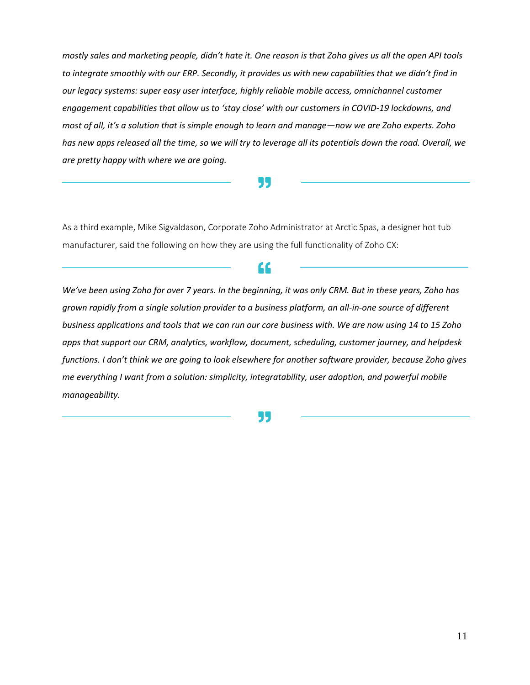*mostly sales and marketing people, didn't hate it. One reason is that Zoho gives us all the open API tools to integrate smoothly with our ERP. Secondly, it provides us with new capabilities that we didn't find in our legacy systems: super easy user interface, highly reliable mobile access, omnichannel customer engagement capabilities that allow us to 'stay close' with our customers in COVID-19 lockdowns, and most of all, it's a solution that is simple enough to learn and manage—now we are Zoho experts. Zoho has new apps released all the time, so we will try to leverage all its potentials down the road. Overall, we are pretty happy with where we are going.*

99

As a third example, Mike Sigvaldason, Corporate Zoho Administrator at Arctic Spas, a designer hot tub manufacturer, said the following on how they are using the full functionality of Zoho CX:

*We've been using Zoho for over 7 years. In the beginning, it was only CRM. But in these years, Zoho has grown rapidly from a single solution provider to a business platform, an all-in-one source of different business applications and tools that we can run our core business with. We are now using 14 to 15 Zoho apps that support our CRM, analytics, workflow, document, scheduling, customer journey, and helpdesk functions. I don't think we are going to look elsewhere for another software provider, because Zoho gives me everything I want from a solution: simplicity, integratability, user adoption, and powerful mobile manageability.*

"

55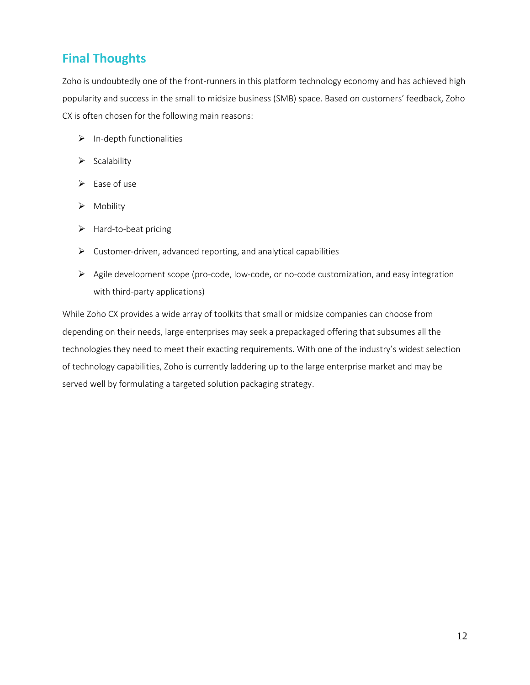# <span id="page-11-0"></span>**Final Thoughts**

Zoho is undoubtedly one of the front-runners in this platform technology economy and has achieved high popularity and success in the small to midsize business (SMB) space. Based on customers' feedback, Zoho CX is often chosen for the following main reasons:

- ➢ In-depth functionalities
- ➢ Scalability
- $\triangleright$  Ease of use
- ➢ Mobility
- ➢ Hard-to-beat pricing
- $\triangleright$  Customer-driven, advanced reporting, and analytical capabilities
- $\triangleright$  Agile development scope (pro-code, low-code, or no-code customization, and easy integration with third-party applications)

While Zoho CX provides a wide array of toolkits that small or midsize companies can choose from depending on their needs, large enterprises may seek a prepackaged offering that subsumes all the technologies they need to meet their exacting requirements. With one of the industry's widest selection of technology capabilities, Zoho is currently laddering up to the large enterprise market and may be served well by formulating a targeted solution packaging strategy.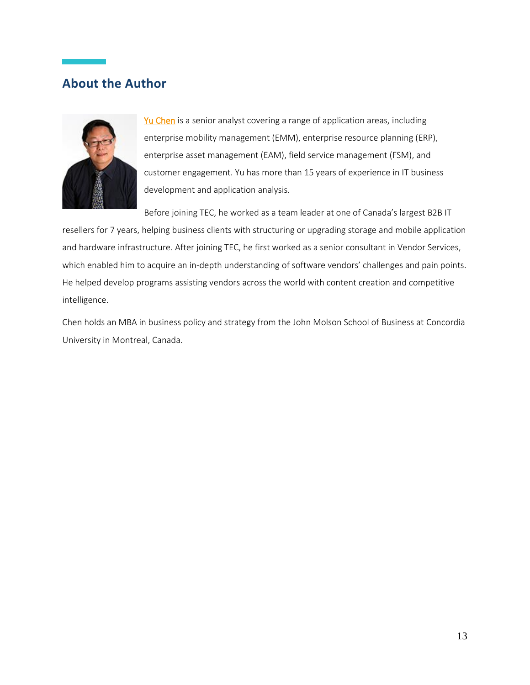## <span id="page-12-0"></span>**About the Author**



[Yu Chen](https://www3.technologyevaluation.com/research/author/yu-chen.html) is a senior analyst covering a range of application areas, including enterprise mobility management (EMM), enterprise resource planning (ERP), enterprise asset management (EAM), field service management (FSM), and customer engagement. Yu has more than 15 years of experience in IT business development and application analysis.

Before joining TEC, he worked as a team leader at one of Canada's largest B2B IT

resellers for 7 years, helping business clients with structuring or upgrading storage and mobile application and hardware infrastructure. After joining TEC, he first worked as a senior consultant in Vendor Services, which enabled him to acquire an in-depth understanding of software vendors' challenges and pain points. He helped develop programs assisting vendors across the world with content creation and competitive intelligence.

Chen holds an MBA in business policy and strategy from the John Molson School of Business at Concordia University in Montreal, Canada.